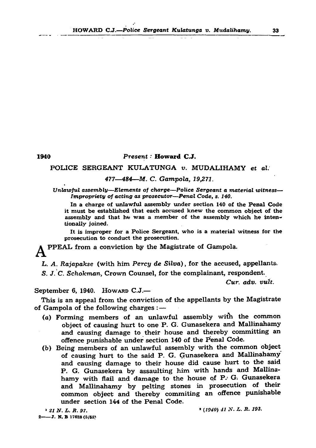#### HOWARD C.J.—Police Sergeant Kulatunga v. Mudalihamy. 33

# 1940 *P r e s e n t :* H oward C.J. POLICE SERGEANT KULATUNGA *v*. MUDALIHAMY et al. *477*— *484*— *M . C. G am pola, 19J71.* п.

*Unlawful assembly—Elements of charge—Police Sergeant a material witness— Impropriety of acting as prosecutor—Penal Code, s. 140.* 

In a charge of unlawful assembly under section 140 of the Penal Code it must be established that each accused knew the common object of the assembly and that he was a member of the assembly which he intentionally joined.

This is an appeal from the conviction of the appellants by the Magistrate of Gampola of the following charges  $: -$ 

It is improper for a Police Sergeant, who is a material witness for the prosecution to conduct the prosecution.

PP EAL from a conviction by the Magistrate of Gampola.

L. A. Rajapakse (with him *Percy de Silva*), for the accused, appellants. S. *J. C. Schokman*, Crown Counsel, for the complainant, respondent.

- $(a)$  Forming members of an unlawful assembly with the common object of causing hurt to one P. G. Gunasekera and Mallinahamy and causing damage to their house and thereby committing an offence punishable under section 140 of the Penal Code.
- (b) Being members of an unlawful assembly with the common object of causing hurt to the said P. G. Gunasekera and Mallinahamy

*Cur. adv. vuit.*

## September 6, 1940. How ARD  $C.J.$ —

and causing damage to their house did cause hurt to the said P. G. Gunasekera by assaulting him with hands and Mallinahamy with flail and damage to the house of P. G. Gunasekera and Mallinahamy by pelting stones in prosecution of their common object and thereby commiting an offence punishable under section 144 of the Penal Code.

<sup>1</sup>*2 1N. L. R. 97.* • *(1940) 41* AT. *L. R. 193.*

 $2$ ---J. N. B 17628 (5/52)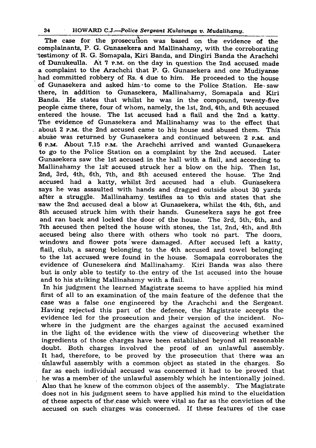#### 34 HOWARD C.J.—Police *Sergeant Kulatunga v. Mudalihamy.*

The case for the prosecution was based on the evidence of the complainants, P. G. Gunasekera and Mallinahamy, with the corroborating testimony of R. G. Somapala, Kiri Banda, and Dingiri Banda the Arachchi of Dunukeulla. At 7 p.m. on the day in question the 2nd accused made a complaint to the Arachchi that P. G. Gunasekera and one Mudiyanse had committed robbery of Rs. 4 due to him. He proceeded to the house of Gunasekera and asked him to come to the Police Station. He saw there, in addition to Gunasekera, Mallinahamy, Somapala and Kiri Banda. He states that whilst he was in the compound, twenty-five people came there, four of whom, namely, the 1st, 2nd, 4th, and 6th accused entered the house. The 1st accused had a flail and the 2nd a katty. The evidence of Gunasekera and Mallinahamy was to the effect that . about 2 p.m. the 2nd accused came to his house and abused them. This abuse was returned by Gunasekera and continued between 2 p.m. and 6 p.m. About 7.15 p.m. the Arachchi arrived and wanted Gunasekera to go to the Police Station on a complaint by the 2nd accused. Later Gunasekera saw the 1st accused, in the hall with a flail, and according to Mallinahamy the 1st accused struck her a blow on the hip. Then 1st, 2nd, 3rd, 4th, 6th, 7th, and 8th accused entered the house. The 2nd accused had a katty, whilst 3rd accused had a club. Gun'asekera says he was assaulted with hands and dragged outside about 30 yards after a struggle. Mallinahamy. testifies as to this and states that she saw the 2nd accused deal a blow at Gunasekera, whilst the 4th, 6th, and 8th accused struck him with their hands. Gunesekera says he got free and ran back and locked the door of the house. The 3rd, 5th, 6th, and 7th accused then pelted the house with stones, the 1st, 2nd, 4th, and 8th accused being also there with others who took no part. The doors, windows and flower pots were damaged. After accused left a katty, flail, club, a sarong belonging to the 4th accused and towel belonging to the 1st accused were found in the house. Somapala corroborates the evidence of Gunesekera and Mallinahamy. Kiri Banda was also there but is only able to testify to. the entry of the 1st accused into the house and to his striking Mallinahamy with a flail. In his judgment the learned Magistrate seems to have applied his mind first of all to an examination of the main feature of the defence that the case was a false one engineered by the Arachchi and the Sergeant. Having rejected this part of the defence, the Magistrate accepts the evidence led for the prosecution and their version of the incident. Nowhere in the judgment are the charges against the accused examined in the light of, the evidence with the view of discovering whether the ingredients of those charges have been established beyond all reasonable doubt. Both charges involved the proof of an unlawful assembly. It had, therefore, to be proved by the prosecution that there was an  $\cdot$  unlawful assembly with a common object as stated in the charges. So far as each individual accused was concerned it had to be proved that he Was a member of the unlawful assembly which he intentionally joined. Also that he knew of the common object of the assembly. The Magistrate does not in his judgment seem to have applied his mind to the elucidation of these aspects of the case which were vital so far as the conviction of the accused on such charges was concerned. If these features of the case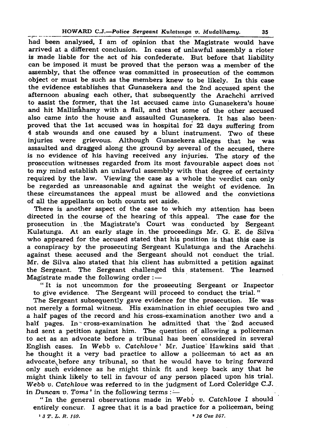#### HOWARD C.J.—Police *Sergeant* Kul*atunga v. Mudalihamy.* 35

had been analysed, I am of opinion that the Magistrate would have arrived at a different conclusion. In cases of unlawful assembly a rioter is made liable for the act of his confederate. But before that liability can be imposed it must be proved that the person was a member of the assembly, that the offence was committed in prosecution of the common object or must be such as the members knew to be likely. In this case the evidence establishes that Gunasekera and the 2nd accused spent the afternoon abusing each other, that subsequently the Arachchi arrived to assist the former, that the 1st accused came into Gunasekera's house and hit Mallinahamy with a flail, and that some of the other accused also came into the house and assaulted Gunasekera. It has also beenproved that the 1st accused was in hospital for 22 days suffering from 4 stab wounds and one caused by a blunt instrument. Two of these injuries were grievous. Although Gunasekera alleges that he was assaulted and dragged along the ground by several of the accused, there is no evidence of his having received any injuries. The story of the prosecution witnesses regarded from its most favourable aspect does not to my mind establish an unlawful assembly with that degree of certainty required by the law. Viewing the case as a whole the verdict can only be regarded as unreasonable and against the w eight of evidence. In these circumstances the appeal must be allowed and the convictions of all the appellants on both counts set aside.

There is another aspect of the case to which my attention has been directed in the course of the hearing of this appeal. The case for the prosecution in the Magistrate's Court was conducted by Sergeant Kulatunga. At an early stage in . the proceedings Mr. G. E. de Silva who appeared for the accused stated that his position is that this case is a conspiracy by the prosecuting Sergeant Kulatunga and the Arachchi against these accused and the Sergeant should not conduct the trial. Mr. de Silva also stated that his client has submitted a petition against the Sergeant. The Sergeant challenged this statement. The learned Magistrate made the following order  $:$   $-$ "It is not uncommon for the prosecuting Sergeant or Inspector to give evidence. The Sergeant will proceed to conduct the trial." The Sergeant subsequently gave evidence for the prosecution. He was not merely a formal witness. His examination in chief occupies two and a half pages of the record and his cross-examination another two and a half pages. In cross-examination he admitted that the  $2nd$  accused had sent a petition against him. The question of allowing a policeman to act as an advocate before a tribunal has been considered in several English cases. In *Webb v. Catchlove* Mr. Justice Hawkins said that he thought it a very bad practice to allow a policeman to act as an advocate before any tribunal, so that he would have to bring forward only such evidence as he might think fit and keep back any that he might think likely to tell in favour of any person placed upon his trial. *Webb v. Catchlove* was referred to in the judgment of Lord Coleridge C.J. in *Duncan v. Toms*<sup> $\dot{ }$ </sup> in the following terms :— " In the general observations made in *Webb v. Catchlove* I should entirely concur. I agree that it is a bad practice for a policeman, being <sup>1</sup> *3 T.L.R. 159.*  $267.$